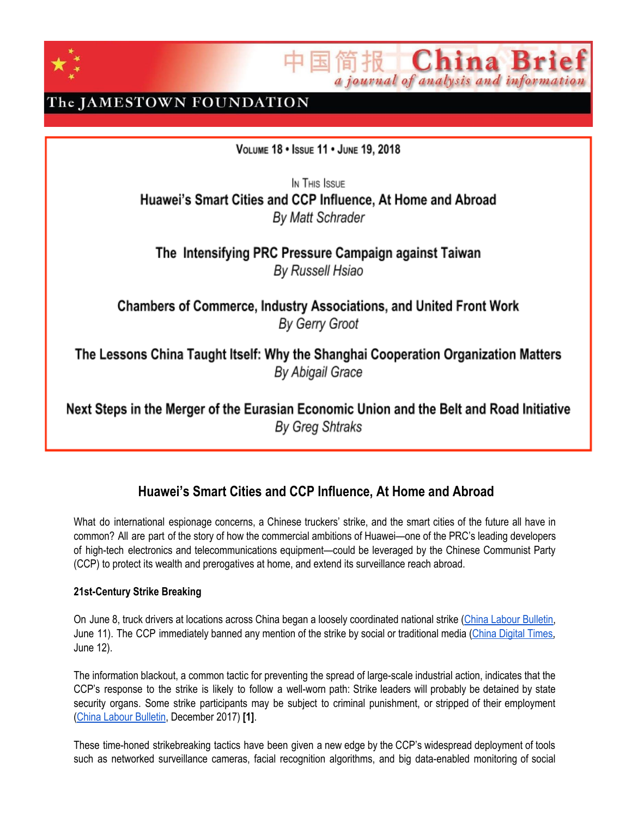

China Br a journal of analysis and information

## The JAMESTOWN FOUNDATION

VOLUME 18 . ISSUE 11 . JUNE 19, 2018

In THIS ISSUE Huawei's Smart Cities and CCP Influence, At Home and Abroad By Matt Schrader

The Intensifying PRC Pressure Campaign against Taiwan By Russell Hsiao

**Chambers of Commerce, Industry Associations, and United Front Work** By Gerry Groot

The Lessons China Taught Itself: Why the Shanghai Cooperation Organization Matters By Abigail Grace

Next Steps in the Merger of the Eurasian Economic Union and the Belt and Road Initiative **By Greg Shtraks** 

## **Huawei's Smart Cities and CCP Influence, At Home and Abroad**

What do international espionage concerns, a Chinese truckers' strike, and the smart cities of the future all have in common? All are part of the story of how the commercial ambitions of Huawei—one of the PRC's leading developers of high-tech electronics and telecommunications equipment—could be leveraged by the Chinese Communist Party (CCP) to protect its wealth and prerogatives at home, and extend its surveillance reach abroad.

### **21st-Century Strike Breaking**

On June 8, truck drivers at locations across China began a loosely coordinated national strike (China Labour [Bulletin](http://www.clb.org.hk/content/china%E2%80%99s-truck-drivers-strike-over-stagnant-pay-high-fuel-costs-and-arbitrary-fines), June 11). The CCP immediately banned any mention of the strike by social or traditional media (China [Digital](https://chinadigitaltimes.net/2018/06/minitrue-delete-news-on-truck-drivers-strike/) Times, June 12).

The information blackout, a common tactic for preventing the spread of large-scale industrial action, indicates that the CCP's response to the strike is likely to follow a well-worn path: Strike leaders will probably be detained by state security organs. Some strike participants may be subject to criminal punishment, or stripped of their employment (China Labour [Bulletin](http://www.clb.org.hk/content/labour-relations-faq), December 2017) **[1]**.

These time-honed strikebreaking tactics have been given a new edge by the CCP's widespread deployment of tools such as networked surveillance cameras, facial recognition algorithms, and big data-enabled monitoring of social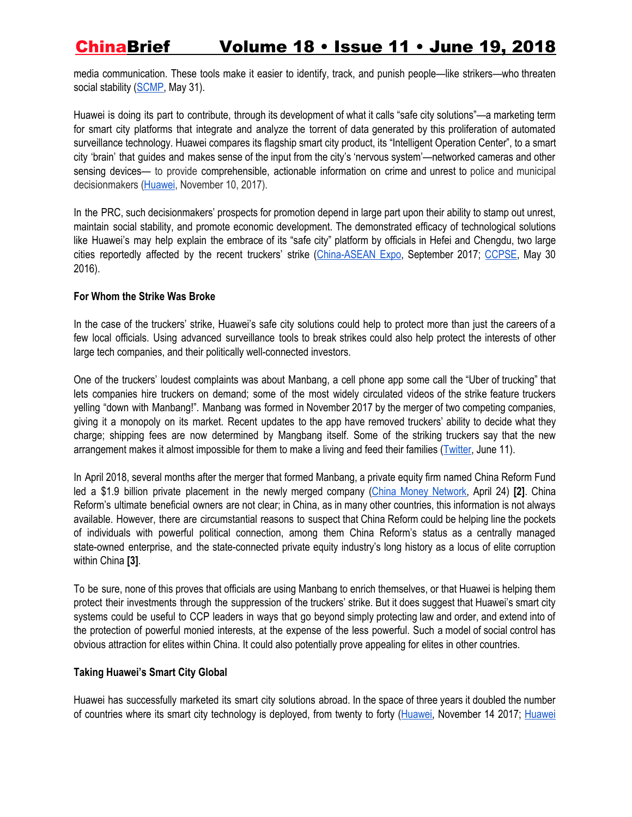media communication. These tools make it easier to identify, track, and punish people—like strikers—who threaten social stability ([SCMP,](http://www.scmp.com/news/china/policies-politics/article/2148566/revealed-advanced-surveillance-tech-used-chinas-police) May 31).

Huawei is doing its part to contribute, through its development of what it calls "safe city solutions"—a marketing term for smart city platforms that integrate and analyze the torrent of data generated by this proliferation of automated surveillance technology. Huawei compares its flagship smart city product, its "Intelligent Operation Center", to a smart city 'brain' that guides and makes sense of the input from the city's 'nervous system'—networked cameras and other sensing devices— to provide comprehensible, actionable information on crime and unrest to police and municipal decisionmakers ([Huawei,](http://www.huawei.com/en/press-events/news/2017/11/Huawei-Smart-City-Nervous-System-SCEWC2017) November 10, 2017).

In the PRC, such decisionmakers' prospects for promotion depend in large part upon their ability to stamp out unrest, maintain social stability, and promote economic development. The demonstrated efficacy of technological solutions like Huawei's may help explain the embrace of its "safe city" platform by officials in Hefei and Chengdu, two large cities reportedly affected by the recent truckers' strike ([China-ASEAN](http://www.caexpo.org/html/2017/trends_0920/219495.html) Expo, September 2017; [CCPSE,](http://zh.21cdaf.com/Main/NewsView.asp?ID=219&SortID=11) May 30 2016).

### **For Whom the Strike Was Broke**

In the case of the truckers' strike, Huawei's safe city solutions could help to protect more than just the careers of a few local officials. Using advanced surveillance tools to break strikes could also help protect the interests of other large tech companies, and their politically well-connected investors.

One of the truckers' loudest complaints was about Manbang, a cell phone app some call the "Uber of trucking" that lets companies hire truckers on demand; some of the most widely circulated videos of the strike feature truckers yelling "down with Manbang!". Manbang was formed in November 2017 by the merger of two competing companies, giving it a monopoly on its market. Recent updates to the app have removed truckers' ability to decide what they charge; shipping fees are now determined by Mangbang itself. Some of the striking truckers say that the new arrangement makes it almost impossible for them to make a living and feed their families ([Twitter,](https://twitter.com/JIangyingbinfen/status/1006026313747005440) June 11).

In April 2018, several months after the merger that formed Manbang, a private equity firm named China Reform Fund led a \$1.9 billion private placement in the newly merged company (China Money [Network](https://www.chinamoneynetwork.com/2018/04/24/softbank-china-reform-fund-co-lead-1-9b-round-in-truck-hailing-firm-manbang), April 24) **[2]**. China Reform's ultimate beneficial owners are not clear; in China, as in many other countries, this information is not always available. However, there are circumstantial reasons to suspect that China Reform could be helping line the pockets of individuals with powerful political connection, among them China Reform's status as a centrally managed state-owned enterprise, and the state-connected private equity industry's long history as a locus of elite corruption within China **[3]**.

To be sure, none of this proves that officials are using Manbang to enrich themselves, or that Huawei is helping them protect their investments through the suppression of the truckers' strike. But it does suggest that Huawei's smart city systems could be useful to CCP leaders in ways that go beyond simply protecting law and order, and extend into of the protection of powerful monied interests, at the expense of the less powerful. Such a model of social control has obvious attraction for elites within China. It could also potentially prove appealing for elites in other countries.

### **Taking Huawei's Smart City Global**

Huawei has successfully marketed its smart city solutions abroad. In the space of three years it doubled the number of countries where its smart city technology is deployed, from twenty to forty [\(Huawei](http://www.huawei.com/en/press-events/news/2017/11/Huawei-Smart-City-Nervous-System-SCEWC2017), November 14 2017; [Huawei](https://t.co/pFwnqcDTSN)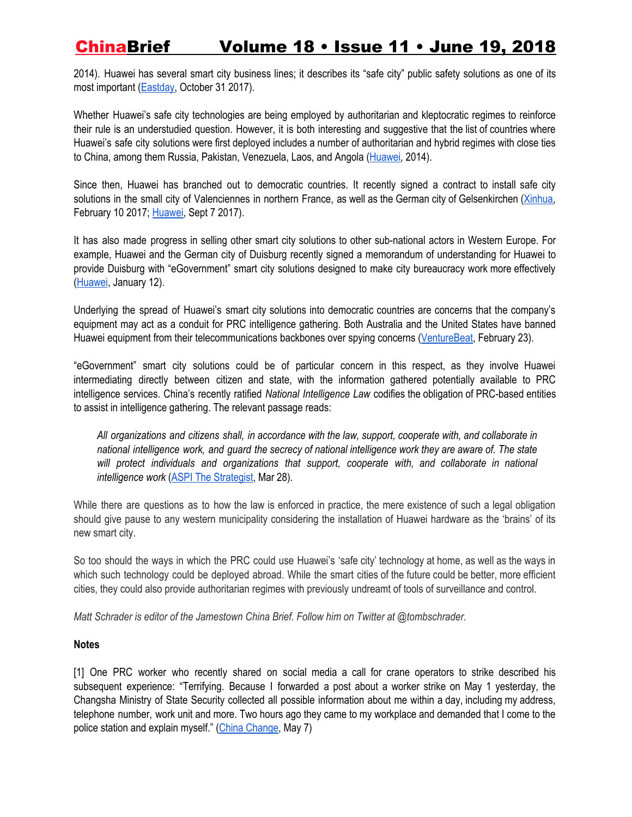2014). Huawei has several smart city business lines; it describes its "safe city" public safety solutions as one of its most important [\(Eastday,](http://www.sohu.com/a/201383125_119562) October 31 2017).

Whether Huawei's safe city technologies are being employed by authoritarian and kleptocratic regimes to reinforce their rule is an understudied question. However, it is both interesting and suggestive that the list of countries where Huawei's safe city solutions were first deployed includes a number of authoritarian and hybrid regimes with close ties to China, among them Russia, Pakistan, Venezuela, Laos, and Angola [\(Huawei](https://t.co/pFwnqcDTSN), 2014).

Since then, Huawei has branched out to democratic countries. It recently signed a contract to install safe city solutions in the small city of Valenciennes in northern France, as well as the German city of Gelsenkirchen ([Xinhua,](http://www.xinhuanet.com/world/2017-02/10/c_1120445581.htm) February 10 2017; [Huawei,](http://e.huawei.com/en/case-studies/global/2017/201709071445) Sept 7 2017).

It has also made progress in selling other smart city solutions to other sub-national actors in Western Europe. For example, Huawei and the German city of Duisburg recently signed a memorandum of understanding for Huawei to provide Duisburg with "eGovernment" smart city solutions designed to make city bureaucracy work more effectively [\(Huawei](http://www.huawei.com/en/press-events/news/2018/1/Duisburg-Germany-and-Huawei-sign-MoU-to-Build-a-Smart-City), January 12).

Underlying the spread of Huawei's smart city solutions into democratic countries are concerns that the company's equipment may act as a conduit for PRC intelligence gathering. Both Australia and the United States have banned Huawei equipment from their telecommunications backbones over spying concerns [\(VentureBeat](https://venturebeat.com/2018/02/23/u-s-urges-australia-not-to-trust-huawei-and-china-with-its-5g-network/), February 23).

"eGovernment" smart city solutions could be of particular concern in this respect, as they involve Huawei intermediating directly between citizen and state, with the information gathered potentially available to PRC intelligence services. China's recently ratified *National Intelligence Law* codifies the obligation of PRC-based entities to assist in intelligence gathering. The relevant passage reads:

*All organizations and citizens shall, in accordance with the law, support, cooperate with, and collaborate in* national intelligence work, and guard the secrecy of national intelligence work they are aware of. The state *will protect individuals and organizations that support, cooperate with, and collaborate in national intelligence work* (ASPI The [Strategist](https://www.aspistrategist.org.au/much-ado-huawei-part-2/), Mar 28)*.*

While there are questions as to how the law is enforced in practice, the mere existence of such a legal obligation should give pause to any western municipality considering the installation of Huawei hardware as the 'brains' of its new smart city.

So too should the ways in which the PRC could use Huawei's 'safe city' technology at home, as well as the ways in which such technology could be deployed abroad. While the smart cities of the future could be better, more efficient cities, they could also provide authoritarian regimes with previously undreamt of tools of surveillance and control.

*Matt Schrader is editor of the Jamestown China Brief. Follow him on Twitter at @tombschrader.*

### **Notes**

[1] One PRC worker who recently shared on social media a call for crane operators to strike described his subsequent experience: "Terrifying. Because I forwarded a post about a worker strike on May 1 yesterday, the Changsha Ministry of State Security collected all possible information about me within a day, including my address, telephone number, work unit and more. Two hours ago they came to my workplace and demanded that I come to the police station and explain myself." (China [Change,](https://chinachange.org/2018/05/07/the-significance-of-crane-operators-across-china-going-on-strike/) May 7)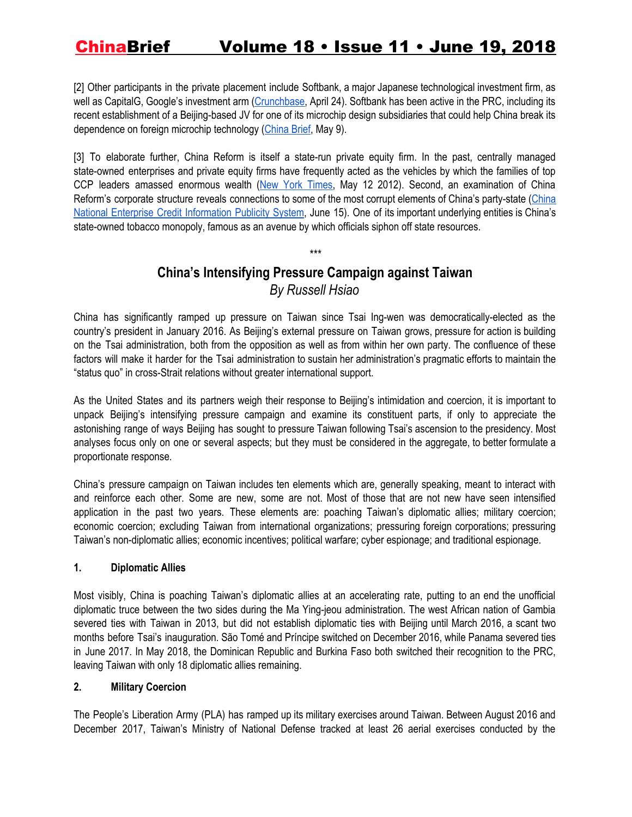[2] Other participants in the private placement include Softbank, a major Japanese technological investment firm, as well as CapitalG, Google's investment arm ([Crunchbase,](https://www.crunchbase.com/funding_round/manbang-group-private-equity--dd36b7fb#section-investors) April 24). Softbank has been active in the PRC, including its recent establishment of a Beijing-based JV for one of its microchip design subsidiaries that could help China break its dependence on foreign microchip technology [\(China](https://jamestown.org/program/uk-japan-companies-help-china-to-counter-uss-tech-leverage/) Brief, May 9).

[3] To elaborate further, China Reform is itself a state-run private equity firm. In the past, centrally managed state-owned enterprises and private equity firms have frequently acted as the vehicles by which the families of top CCP leaders amassed enormous wealth (New York [Times](https://www.nytimes.com/2012/05/18/world/asia/china-princelings-using-family-ties-to-gain-riches.html), May 12 2012). Second, an examination of China Reform's corporate structure reveals connections to some of the most corrupt elements of China's party-state [\(China](http://www.gsxt.gov.cn/%7B6A95C5A30DF3342EE1876F915E80882640353AF50B7EA0C4946AC4A2D70C94F21A6FB1D5857B746EC36D77DAD53D32CC46EAAAC25B23580F773776215905107C10FF10FF10F31CD39AA70A379A9F80EAB1DD0F6BB9563A3F20EFF05DBED27F243B854A772C51F5FD26926AA57B7359B11FD0204C207B945D5248E5EA9F9758A8C42BC42BC42B-1529271811357%7D) National Enterprise Credit [Information](http://www.gsxt.gov.cn/%7B6A95C5A30DF3342EE1876F915E80882640353AF50B7EA0C4946AC4A2D70C94F21A6FB1D5857B746EC36D77DAD53D32CC46EAAAC25B23580F773776215905107C10FF10FF10F31CD39AA70A379A9F80EAB1DD0F6BB9563A3F20EFF05DBED27F243B854A772C51F5FD26926AA57B7359B11FD0204C207B945D5248E5EA9F9758A8C42BC42BC42B-1529271811357%7D) Publicity System, June 15). One of its important underlying entities is China's state-owned tobacco monopoly, famous as an avenue by which officials siphon off state resources.

### *\*\*\**

## **China's Intensifying Pressure Campaign against Taiwan** *By Russell Hsiao*

China has significantly ramped up pressure on Taiwan since Tsai Ing-wen was democratically-elected as the country's president in January 2016. As Beijing's external pressure on Taiwan grows, pressure for action is building on the Tsai administration, both from the opposition as well as from within her own party. The confluence of these factors will make it harder for the Tsai administration to sustain her administration's pragmatic efforts to maintain the "status quo" in cross-Strait relations without greater international support.

As the United States and its partners weigh their response to Beijing's intimidation and coercion, it is important to unpack Beijing's intensifying pressure campaign and examine its constituent parts, if only to appreciate the astonishing range of ways Beijing has sought to pressure Taiwan following Tsai's ascension to the presidency. Most analyses focus only on one or several aspects; but they must be considered in the aggregate, to better formulate a proportionate response.

China's pressure campaign on Taiwan includes ten elements which are, generally speaking, meant to interact with and reinforce each other. Some are new, some are not. Most of those that are not new have seen intensified application in the past two years. These elements are: poaching Taiwan's diplomatic allies; military coercion; economic coercion; excluding Taiwan from international organizations; pressuring foreign corporations; pressuring Taiwan's non-diplomatic allies; economic incentives; political warfare; cyber espionage; and traditional espionage.

### **1. Diplomatic Allies**

Most visibly, China is poaching Taiwan's diplomatic allies at an accelerating rate, putting to an end the unofficial diplomatic truce between the two sides during the Ma Ying-jeou administration. The west African nation of Gambia severed ties with Taiwan in 2013, but did not establish diplomatic ties with Beijing until March 2016, a scant two months before Tsai's inauguration. São Tomé and Príncipe switched on December 2016, while Panama severed ties in June 2017. In May 2018, the Dominican Republic and Burkina Faso both switched their recognition to the PRC, leaving Taiwan with only 18 diplomatic allies remaining.

### **2. Military Coercion**

The People's Liberation Army (PLA) has ramped up its military exercises around Taiwan. Between August 2016 and December 2017, Taiwan's Ministry of National Defense tracked at least 26 aerial exercises conducted by the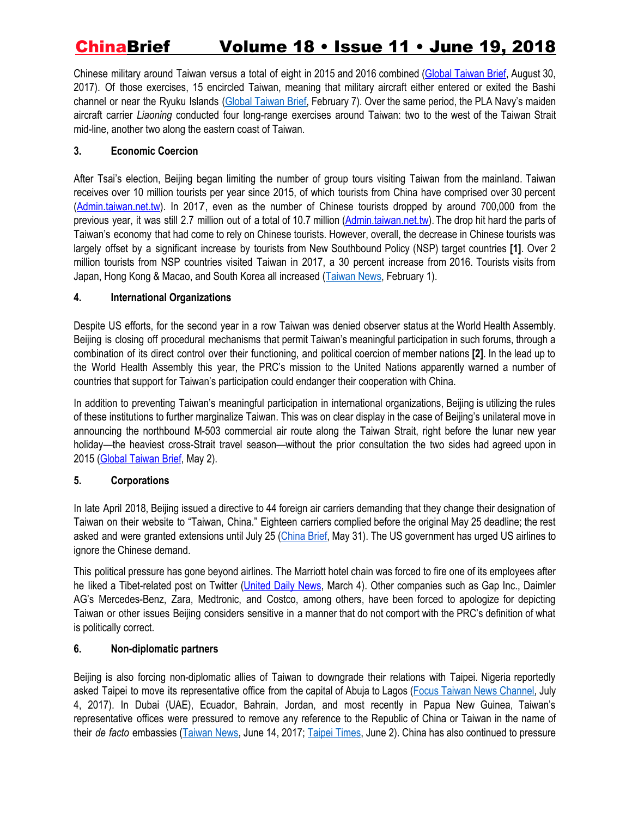Chinese military around Taiwan versus a total of eight in 2015 and 2016 combined (Global [Taiwan](http://globaltaiwan.org/2017/08/30-gtb-2-34/#RH083017) Brief, August 30, 2017). Of those exercises, 15 encircled Taiwan, meaning that military aircraft either entered or exited the Bashi channel or near the Ryuku Islands (Global [Taiwan](http://globaltaiwan.org/2018/02/7-gtb-3-3/#RussellHsiao020718) Brief, February 7). Over the same period, the PLA Navy's maiden aircraft carrier *Liaoning* conducted four long-range exercises around Taiwan: two to the west of the Taiwan Strait mid-line, another two along the eastern coast of Taiwan.

### **3. Economic Coercion**

After Tsai's election, Beijing began limiting the number of group tours visiting Taiwan from the mainland. Taiwan receives over 10 million tourists per year since 2015, of which tourists from China have comprised over 30 percent [\(Admin.taiwan.net.tw](http://admin.taiwan.net.tw/public/public.aspx?no=315)). In 2017, even as the number of Chinese tourists dropped by around 700,000 from the previous year, it was still 2.7 million out of a total of 10.7 million [\(Admin.taiwan.net.tw\)](http://admin.taiwan.net.tw/upload/statistic/20180222/2d2b193a-df20-42b0-9ad5-3a5f95dec433.xls). The drop hit hard the parts of Taiwan's economy that had come to rely on Chinese tourists. However, overall, the decrease in Chinese tourists was largely offset by a significant increase by tourists from New Southbound Policy (NSP) target countries **[1]**. Over 2 million tourists from NSP countries visited Taiwan in 2017, a 30 percent increase from 2016. Tourists visits from Japan, Hong Kong & Macao, and South Korea all increased ([Taiwan](https://www.taiwannews.com.tw/en/news/3352916) News, February 1).

### **4. International Organizations**

Despite US efforts, for the second year in a row Taiwan was denied observer status at the World Health Assembly. Beijing is closing off procedural mechanisms that permit Taiwan's meaningful participation in such forums, through a combination of its direct control over their functioning, and political coercion of member nations **[2]**. In the lead up to the World Health Assembly this year, the PRC's mission to the United Nations apparently warned a number of countries that support for Taiwan's participation could endanger their cooperation with China.

In addition to preventing Taiwan's meaningful participation in international organizations, Beijing is utilizing the rules of these institutions to further marginalize Taiwan. This was on clear display in the case of Beijing's unilateral move in announcing the northbound M-503 commercial air route along the Taiwan Strait, right before the lunar new year holiday—the heaviest cross-Strait travel season—without the prior consultation the two sides had agreed upon in 2015 (Global [Taiwan](http://globaltaiwan.org/2018/05/vol-3-issue-9/) Brief, May 2).

### **5. Corporations**

In late April 2018, Beijing issued a directive to 44 foreign air carriers demanding that they change their designation of Taiwan on their website to "Taiwan, China." Eighteen carriers complied before the original May 25 deadline; the rest asked and were granted extensions until July 25 [\(China](https://jamestown.org/program/amid-taiwan-tensions-airline-spat-shows-sino-us-failure-to-communicate/) Brief, May 31). The US government has urged US airlines to ignore the Chinese demand.

This political pressure has gone beyond airlines. The Marriott hotel chain was forced to fire one of its employees after he liked a Tibet-related post on Twitter [\(United](https://udn.com/news/story/6811/3011274) Daily News, March 4). Other companies such as Gap Inc., Daimler AG's Mercedes-Benz, Zara, Medtronic, and Costco, among others, have been forced to apologize for depicting Taiwan or other issues Beijing considers sensitive in a manner that do not comport with the PRC's definition of what is politically correct.

### **6. Non-diplomatic partners**

Beijing is also forcing non-diplomatic allies of Taiwan to downgrade their relations with Taipei. Nigeria reportedly asked Taipei to move its representative office from the capital of Abuja to Lagos (Focus Taiwan News [Channel,](http://focustaiwan.tw/news/aipl/201707040009.aspx) July 4, 2017). In Dubai (UAE), Ecuador, Bahrain, Jordan, and most recently in Papua New Guinea, Taiwan's representative offices were pressured to remove any reference to the Republic of China or Taiwan in the name of their *de facto* embassies ([Taiwan](https://www.taiwannews.com.tw/en/news/3187565) News, June 14, 2017; Taipei [Times,](http://www.taipeitimes.com/News/taiwan/archives/2018/06/02/2003694174) June 2). China has also continued to pressure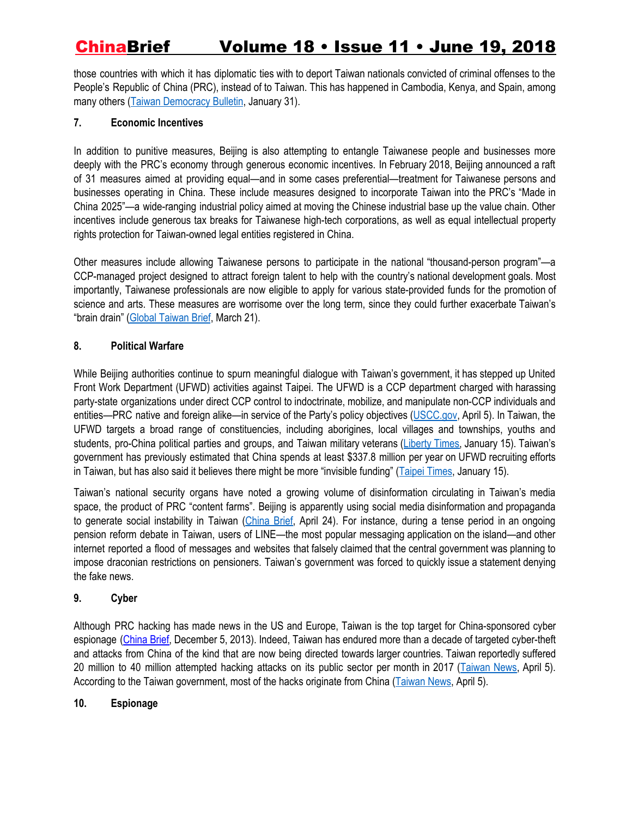those countries with which it has diplomatic ties with to deport Taiwan nationals convicted of criminal offenses to the People's Republic of China (PRC), instead of to Taiwan. This has happened in Cambodia, Kenya, and Spain, among many others (Taiwan [Democracy](https://bulletin.tfd.org.tw/tdb-vol-2-no-3-deportations-of-taiwanese-suspects-to-china-violate-rights-of-taiwanese/) Bulletin, January 31).

### **7. Economic Incentives**

In addition to punitive measures, Beijing is also attempting to entangle Taiwanese people and businesses more deeply with the PRC's economy through generous economic incentives. In February 2018, Beijing announced a raft of 31 measures aimed at providing equal—and in some cases preferential—treatment for Taiwanese persons and businesses operating in China. These include measures designed to incorporate Taiwan into the PRC's "Made in China 2025"—a wide-ranging industrial policy aimed at moving the Chinese industrial base up the value chain. Other incentives include generous tax breaks for Taiwanese high-tech corporations, as well as equal intellectual property rights protection for Taiwan-owned legal entities registered in China.

Other measures include allowing Taiwanese persons to participate in the national "thousand-person program"—a CCP-managed project designed to attract foreign talent to help with the country's national development goals. Most importantly, Taiwanese professionals are now eligible to apply for various state-provided funds for the promotion of science and arts. These measures are worrisome over the long term, since they could further exacerbate Taiwan's "brain drain" (Global [Taiwan](http://globaltaiwan.org/2018/03/vol-3-issue-6/#RussellHsiao032018) Brief, March 21).

### **8. Political Warfare**

While Beijing authorities continue to spurn meaningful dialogue with Taiwan's government, it has stepped up United Front Work Department (UFWD) activities against Taipei. The UFWD is a CCP department charged with harassing party-state organizations under direct CCP control to indoctrinate, mobilize, and manipulate non-CCP individuals and entities—PRC native and foreign alike—in service of the Party's policy objectives [\(USCC.gov](https://uscc.gov/sites/default/files/Hsiao%20-Written%20Statement.pdf), April 5). In Taiwan, the UFWD targets a broad range of constituencies, including aborigines, local villages and townships, youths and students, pro-China political parties and groups, and Taiwan military veterans [\(Liberty](http://news.ltn.com.tw/news/focus/paper/1168821) Times, January 15). Taiwan's government has previously estimated that China spends at least \$337.8 million per year on UFWD recruiting efforts in Taiwan, but has also said it believes there might be more "invisible funding" (Taipei [Times](http://www.taipeitimes.com/News/front/archives/2018/01/15/2003685789), January 15).

Taiwan's national security organs have noted a growing volume of disinformation circulating in Taiwan's media space, the product of PRC "content farms". Beijing is apparently using social media disinformation and propaganda to generate social instability in Taiwan ([China](https://jamestown.org/program/ccp-propaganda-against-taiwan-enters-the-social-age/) Brief, April 24). For instance, during a tense period in an ongoing pension reform debate in Taiwan, users of LINE—the most popular messaging application on the island—and other internet reported a flood of messages and websites that falsely claimed that the central government was planning to impose draconian restrictions on pensioners. Taiwan's government was forced to quickly issue a statement denying the fake news.

### **9. Cyber**

Although PRC hacking has made news in the US and Europe, Taiwan is the top target for China-sponsored cyber espionage [\(China](https://jamestown.org/program/critical-node-taiwans-cyber-defense-and-chinese-cyber-espionage/) Brief, December 5, 2013). Indeed, Taiwan has endured more than a decade of targeted cyber-theft and attacks from China of the kind that are now being directed towards larger countries. Taiwan reportedly suffered 20 million to 40 million attempted hacking attacks on its public sector per month in 2017 [\(Taiwan](https://www.taiwannews.com.tw/en/news/3398654) News, April 5). According to the Taiwan government, most of the hacks originate from China [\(Taiwan](https://www.taiwannews.com.tw/en/news/3398654) News, April 5).

### **10. Espionage**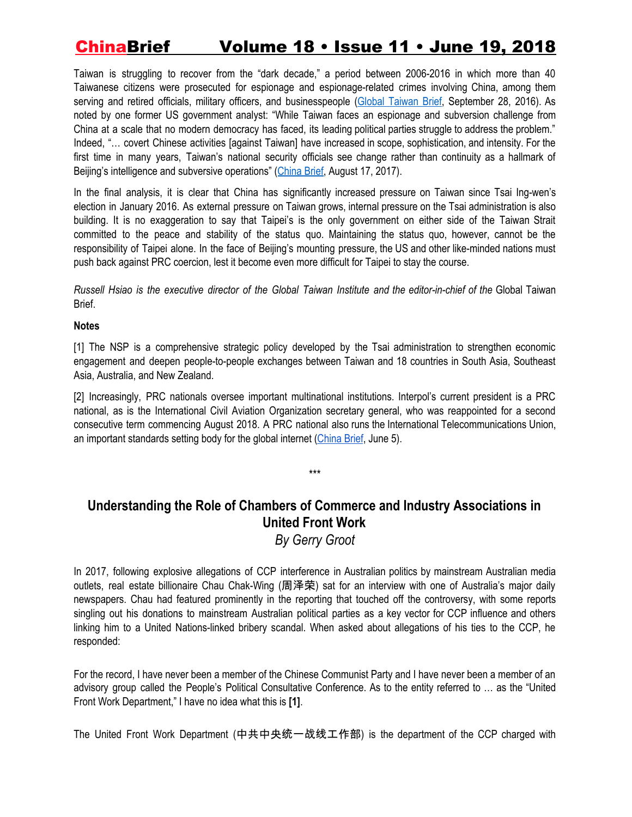Taiwan is struggling to recover from the "dark decade," a period between 2006-2016 in which more than 40 Taiwanese citizens were prosecuted for espionage and espionage-related crimes involving China, among them serving and retired officials, military officers, and businesspeople (Global [Taiwan](http://globaltaiwan.org/2016/09/28-gtb-1-2/#PeterMattis092816) Brief, September 28, 2016). As noted by one former US government analyst: "While Taiwan faces an espionage and subversion challenge from China at a scale that no modern democracy has faced, its leading political parties struggle to address the problem." Indeed, "… covert Chinese activities [against Taiwan] have increased in scope, sophistication, and intensity. For the first time in many years, Taiwan's national security officials see change rather than continuity as a hallmark of Beijing's intelligence and subversive operations" ([China](https://jamestown.org/program/counterintelligence-remains-weakness-in-taiwans-defense/) Brief, August 17, 2017).

In the final analysis, it is clear that China has significantly increased pressure on Taiwan since Tsai Ing-wen's election in January 2016. As external pressure on Taiwan grows, internal pressure on the Tsai administration is also building. It is no exaggeration to say that Taipei's is the only government on either side of the Taiwan Strait committed to the peace and stability of the status quo. Maintaining the status quo, however, cannot be the responsibility of Taipei alone. In the face of Beijing's mounting pressure, the US and other like-minded nations must push back against PRC coercion, lest it become even more difficult for Taipei to stay the course.

Russell Hsiao is the executive director of the Global Taiwan Institute and the editor-in-chief of the Global Taiwan Brief.

### **Notes**

[1] The NSP is a comprehensive strategic policy developed by the Tsai administration to strengthen economic engagement and deepen people-to-people exchanges between Taiwan and 18 countries in South Asia, Southeast Asia, Australia, and New Zealand.

[2] Increasingly, PRC nationals oversee important multinational institutions. Interpol's current president is a PRC national, as is the International Civil Aviation Organization secretary general, who was reappointed for a second consecutive term commencing August 2018. A PRC national also runs the International Telecommunications Union, an important standards setting body for the global internet ([China](https://jamestown.org/program/cyber-sovereignty-and-the-prcs-vision-for-global-internet-governance/) Brief, June 5).

## **Understanding the Role of Chambers of Commerce and Industry Associations in United Front Work**

\*\*\*

*By Gerry Groot*

In 2017, following explosive allegations of CCP interference in Australian politics by mainstream Australian media outlets, real estate billionaire Chau Chak-Wing (周泽荣) sat for an interview with one of Australia's major daily newspapers. Chau had featured prominently in the reporting that touched off the controversy, with some reports singling out his donations to mainstream Australian political parties as a key vector for CCP influence and others linking him to a United Nations-linked bribery scandal. When asked about allegations of his ties to the CCP, he responded:

For the record, I have never been a member of the Chinese Communist Party and I have never been a member of an advisory group called the People's Political Consultative Conference. As to the entity referred to … as the "United Front Work Department," I have no idea what this is **[1]**.

The United Front Work Department (中共中央统一战线工作部) is the department of the CCP charged with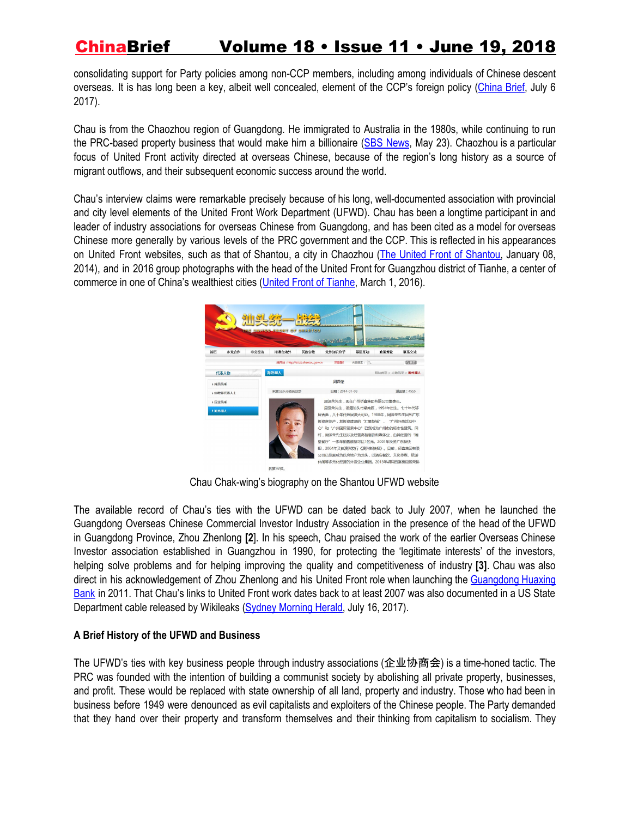consolidating support for Party policies among non-CCP members, including among individuals of Chinese descent overseas. It is has long been a key, albeit well concealed, element of the CCP's foreign policy ([China](https://jamestown.org/program/united-front-work-department-magic-weapon-home-abroad/) Brief, July 6 2017).

Chau is from the Chaozhou region of Guangdong. He immigrated to Australia in the 1980s, while continuing to run the PRC-based property business that would make him a billionaire (SBS [News,](https://www.sbs.com.au/news/chau-chak-wing-who-is-the-australian-in-andrew-hastie-s-un-bribery-claim) May 23). Chaozhou is a particular focus of United Front activity directed at overseas Chinese, because of the region's long history as a source of migrant outflows, and their subsequent economic success around the world.

Chau's interview claims were remarkable precisely because of his long, well-documented association with provincial and city level elements of the United Front Work Department (UFWD). Chau has been a longtime participant in and leader of industry associations for overseas Chinese from Guangdong, and has been cited as a model for overseas Chinese more generally by various levels of the PRC government and the CCP. This is reflected in his appearances on United Front websites, such as that of Shantou, a city in Chaozhou (The United Front of [Shantou,](http://sttzb.shantou.gov.cn/demeanor_s.asp?ID=78) January 08, 2014), and in 2016 group photographs with the head of the United Front for Guangzhou district of Tianhe, a center of commerce in one of China's wealthiest cities (United Front of [Tianhe](http://tyzx.thnet.gov.cn/tyzx/jx/201603/e7fcf9aeb7c045f6881013b843195913.shtml), March 1, 2016).



Chau Chak-wing's biography on the Shantou UFWD website

The available record of Chau's ties with the UFWD can be dated back to July 2007, when he launched the Guangdong Overseas Chinese Commercial Investor Industry Association in the presence of the head of the UFWD in Guangdong Province, Zhou Zhenlong **[2**]. In his speech, Chau praised the work of the earlier Overseas Chinese Investor association established in Guangzhou in 1990, for protecting the 'legitimate interests' of the investors, helping solve problems and for helping improving the quality and competitiveness of industry **[3]**. Chau was also direct in his acknowledgement of Zhou Zhenlong and his United Front role when launching the [Guangdong](http://bank.hexun.com/2011-10-30/134703410.html) Huaxing [Bank](http://bank.hexun.com/2011-10-30/134703410.html) in 2011. That Chau's links to United Front work dates back to at least 2007 was also documented in a US State Department cable released by Wikileaks (Sydney [Morning](https://www.smh.com.au/national/wikileaked-billionaire-australian-donors-beijing-links-detailed-in-sensitive-diplomatic-cable-20170714-gxb21c.html) Herald, July 16, 2017).

### **A Brief History of the UFWD and Business**

The UFWD's ties with key business people through industry associations (企业协商会) is a time-honed tactic. The PRC was founded with the intention of building a communist society by abolishing all private property, businesses, and profit. These would be replaced with state ownership of all land, property and industry. Those who had been in business before 1949 were denounced as evil capitalists and exploiters of the Chinese people. The Party demanded that they hand over their property and transform themselves and their thinking from capitalism to socialism. They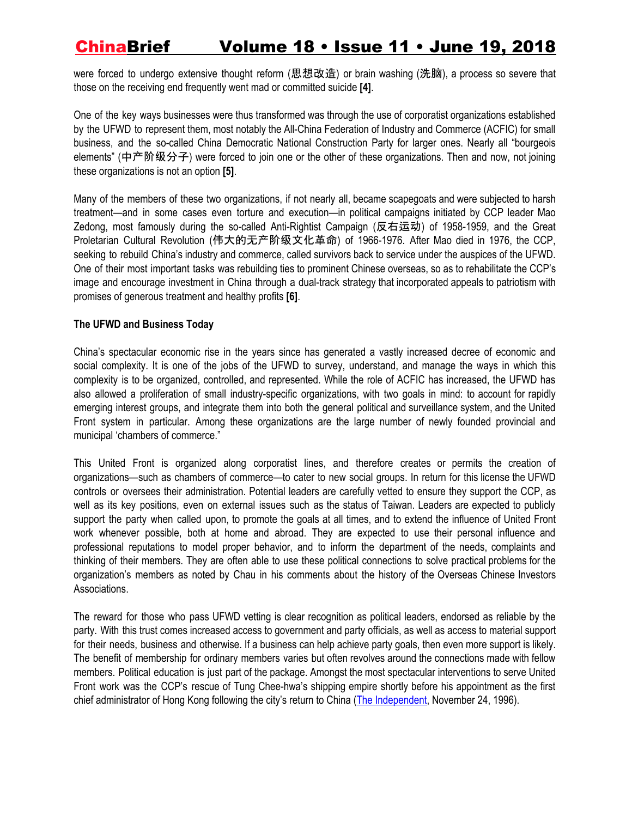were forced to undergo extensive thought reform (思想改造) or brain washing (洗脑), a process so severe that those on the receiving end frequently went mad or committed suicide **[4]**.

One of the key ways businesses were thus transformed was through the use of corporatist organizations established by the UFWD to represent them, most notably the All-China Federation of Industry and Commerce (ACFIC) for small business, and the so-called China Democratic National Construction Party for larger ones. Nearly all "bourgeois elements" (中产阶级分子) were forced to join one or the other of these organizations. Then and now, not joining these organizations is not an option **[5]**.

Many of the members of these two organizations, if not nearly all, became scapegoats and were subjected to harsh treatment—and in some cases even torture and execution—in political campaigns initiated by CCP leader Mao Zedong, most famously during the so-called Anti-Rightist Campaign (反右运动) of 1958-1959, and the Great Proletarian Cultural Revolution (伟大的无产阶级文化革命) of 1966-1976. After Mao died in 1976, the CCP, seeking to rebuild China's industry and commerce, called survivors back to service under the auspices of the UFWD. One of their most important tasks was rebuilding ties to prominent Chinese overseas, so as to rehabilitate the CCP's image and encourage investment in China through a dual-track strategy that incorporated appeals to patriotism with promises of generous treatment and healthy profits **[6]**.

### **The UFWD and Business Today**

China's spectacular economic rise in the years since has generated a vastly increased decree of economic and social complexity. It is one of the jobs of the UFWD to survey, understand, and manage the ways in which this complexity is to be organized, controlled, and represented. While the role of ACFIC has increased, the UFWD has also allowed a proliferation of small industry-specific organizations, with two goals in mind: to account for rapidly emerging interest groups, and integrate them into both the general political and surveillance system, and the United Front system in particular. Among these organizations are the large number of newly founded provincial and municipal 'chambers of commerce."

This United Front is organized along corporatist lines, and therefore creates or permits the creation of organizations—such as chambers of commerce—to cater to new social groups. In return for this license the UFWD controls or oversees their administration. Potential leaders are carefully vetted to ensure they support the CCP, as well as its key positions, even on external issues such as the status of Taiwan. Leaders are expected to publicly support the party when called upon, to promote the goals at all times, and to extend the influence of United Front work whenever possible, both at home and abroad. They are expected to use their personal influence and professional reputations to model proper behavior, and to inform the department of the needs, complaints and thinking of their members. They are often able to use these political connections to solve practical problems for the organization's members as noted by Chau in his comments about the history of the Overseas Chinese Investors Associations.

The reward for those who pass UFWD vetting is clear recognition as political leaders, endorsed as reliable by the party. With this trust comes increased access to government and party officials, as well as access to material support for their needs, business and otherwise. If a business can help achieve party goals, then even more support is likely. The benefit of membership for ordinary members varies but often revolves around the connections made with fellow members. Political education is just part of the package. Amongst the most spectacular interventions to serve United Front work was the CCP's rescue of Tung Chee-hwa's shipping empire shortly before his appointment as the first chief administrator of Hong Kong following the city's return to China (The [Independent,](https://www.independent.co.uk/voices/profile-tung-chee-hwa-chinas-secret-weapon-1354010.html) November 24, 1996).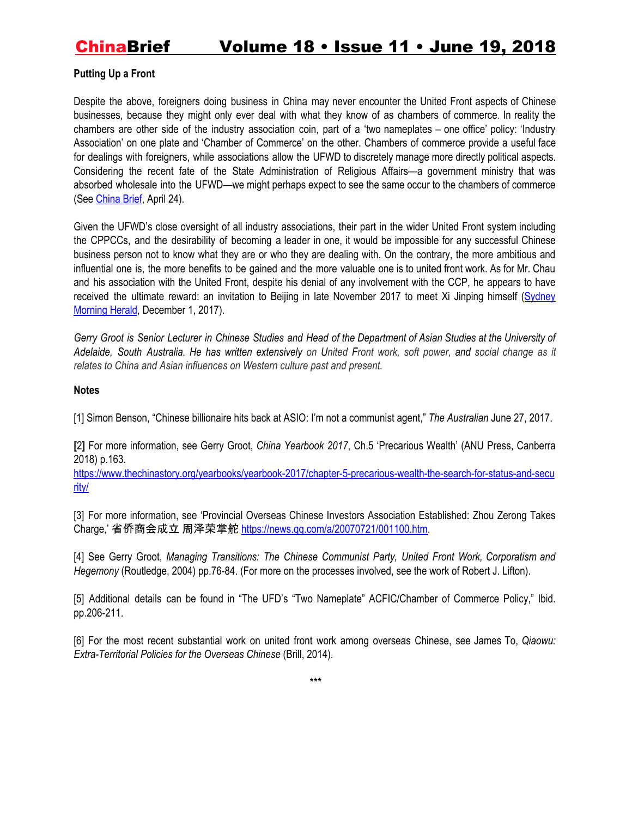### **Putting Up a Front**

Despite the above, foreigners doing business in China may never encounter the United Front aspects of Chinese businesses, because they might only ever deal with what they know of as chambers of commerce. In reality the chambers are other side of the industry association coin, part of a 'two nameplates – one office' policy: 'Industry Association' on one plate and 'Chamber of Commerce' on the other. Chambers of commerce provide a useful face for dealings with foreigners, while associations allow the UFWD to discretely manage more directly political aspects. Considering the recent fate of the State Administration of Religious Affairs—a government ministry that was absorbed wholesale into the UFWD—we might perhaps expect to see the same occur to the chambers of commerce (See [China](https://jamestown.org/program/the-rise-and-rise-of-the-united-front-work-department-under-xi/) Brief, April 24).

Given the UFWD's close oversight of all industry associations, their part in the wider United Front system including the CPPCCs, and the desirability of becoming a leader in one, it would be impossible for any successful Chinese business person not to know what they are or who they are dealing with. On the contrary, the more ambitious and influential one is, the more benefits to be gained and the more valuable one is to united front work. As for Mr. Chau and his association with the United Front, despite his denial of any involvement with the CCP, he appears to have received the ultimate reward: an invitation to Beijing in late November 2017 to meet Xi Jinping himself [\(Sydney](https://www.smh.com.au/world/chinese-president-xi-jinping-backs-controversial-australian-political-donor-chau-20171201-gzwvfy.html) [Morning](https://www.smh.com.au/world/chinese-president-xi-jinping-backs-controversial-australian-political-donor-chau-20171201-gzwvfy.html) Herald, December 1, 2017).

Gerry Groot is Senior Lecturer in Chinese Studies and Head of the Department of Asian Studies at the University of Adelaide, South Australia. He has written extensively on United Front work, soft power, and social change as it *relates to China and Asian influences on Western culture past and present.*

### **Notes**

[1] Simon Benson, "Chinese billionaire hits back at ASIO: I'm not a communist agent," *The Australian* June 27, 2017.

**[**2**]** For more information, see Gerry Groot, *China Yearbook 2017*, Ch.5 'Precarious Wealth' (ANU Press, Canberra 2018) p.163.

[https://www.thechinastory.org/yearbooks/yearbook-2017/chapter-5-precarious-wealth-the-search-for-status-and-secu](https://www.thechinastory.org/yearbooks/yearbook-2017/chapter-5-precarious-wealth-the-search-for-status-and-security/) [rity/](https://www.thechinastory.org/yearbooks/yearbook-2017/chapter-5-precarious-wealth-the-search-for-status-and-security/)

[3] For more information, see 'Provincial Overseas Chinese Investors Association Established: Zhou Zerong Takes Charge,' 省侨商会成立 周泽荣掌舵 [https://news.qq.com/a/20070721/001100.htm.](https://news.qq.com/a/20070721/001100.htm)

[4] See Gerry Groot, *Managing Transitions: The Chinese Communist Party, United Front Work, Corporatism and Hegemony* (Routledge, 2004) pp.76-84. (For more on the processes involved, see the work of Robert J. Lifton).

[5] Additional details can be found in "The UFD's "Two Nameplate" ACFIC/Chamber of Commerce Policy," Ibid. pp.206-211.

[6] For the most recent substantial work on united front work among overseas Chinese, see James To, *Qiaowu: Extra-Territorial Policies for the Overseas Chinese* (Brill, 2014).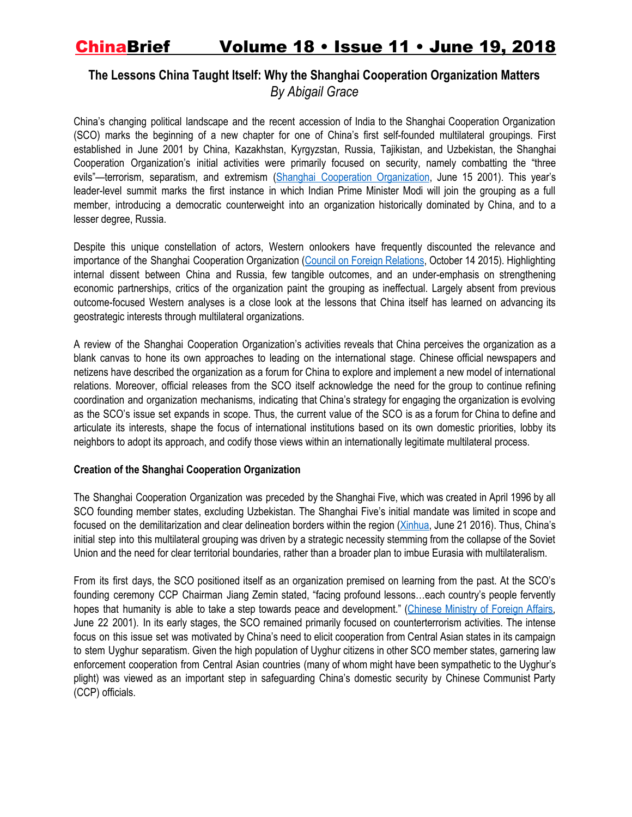## **The Lessons China Taught Itself: Why the Shanghai Cooperation Organization Matters** *By Abigail Grace*

China's changing political landscape and the recent accession of India to the Shanghai Cooperation Organization (SCO) marks the beginning of a new chapter for one of China's first self-founded multilateral groupings. First established in June 2001 by China, Kazakhstan, Kyrgyzstan, Russia, Tajikistan, and Uzbekistan, the Shanghai Cooperation Organization's initial activities were primarily focused on security, namely combatting the "three evils"-terrorism, separatism, and extremism (Shanghai Cooperation [Organization](http://chn.sectsco.org/load/43485/), June 15 2001). This vear's leader-level summit marks the first instance in which Indian Prime Minister Modi will join the grouping as a full member, introducing a democratic counterweight into an organization historically dominated by China, and to a lesser degree, Russia.

Despite this unique constellation of actors, Western onlookers have frequently discounted the relevance and importance of the Shanghai Cooperation Organization (Council on Foreign [Relations](https://www.cfr.org/backgrounder/shanghai-cooperation-organization), October 14 2015). Highlighting internal dissent between China and Russia, few tangible outcomes, and an under-emphasis on strengthening economic partnerships, critics of the organization paint the grouping as ineffectual. Largely absent from previous outcome-focused Western analyses is a close look at the lessons that China itself has learned on advancing its geostrategic interests through multilateral organizations.

A review of the Shanghai Cooperation Organization's activities reveals that China perceives the organization as a blank canvas to hone its own approaches to leading on the international stage. Chinese official newspapers and netizens have described the organization as a forum for China to explore and implement a new model of international relations. Moreover, official releases from the SCO itself acknowledge the need for the group to continue refining coordination and organization mechanisms, indicating that China's strategy for engaging the organization is evolving as the SCO's issue set expands in scope. Thus, the current value of the SCO is as a forum for China to define and articulate its interests, shape the focus of international institutions based on its own domestic priorities, lobby its neighbors to adopt its approach, and codify those views within an internationally legitimate multilateral process.

### **Creation of the Shanghai Cooperation Organization**

The Shanghai Cooperation Organization was preceded by the Shanghai Five, which was created in April 1996 by all SCO founding member states, excluding Uzbekistan. The Shanghai Five's initial mandate was limited in scope and focused on the demilitarization and clear delineation borders within the region ([Xinhua,](http://www.xinhuanet.com/world/2016-06/21/c_129079194.htm) June 21 2016). Thus, China's initial step into this multilateral grouping was driven by a strategic necessity stemming from the collapse of the Soviet Union and the need for clear territorial boundaries, rather than a broader plan to imbue Eurasia with multilateralism.

From its first days, the SCO positioned itself as an organization premised on learning from the past. At the SCO's founding ceremony CCP Chairman Jiang Zemin stated, "facing profound lessons…each country's people fervently hopes that humanity is able to take a step towards peace and development." [\(Chinese](http://www.fmprc.gov.cn/web/gjhdq_676201/gjhdqzz_681964/lhg_683094/zyjh_683104/t4637.shtml) Ministry of Foreign Affairs, June 22 2001). In its early stages, the SCO remained primarily focused on counterterrorism activities. The intense focus on this issue set was motivated by China's need to elicit cooperation from Central Asian states in its campaign to stem Uyghur separatism. Given the high population of Uyghur citizens in other SCO member states, garnering law enforcement cooperation from Central Asian countries (many of whom might have been sympathetic to the Uyghur's plight) was viewed as an important step in safeguarding China's domestic security by Chinese Communist Party (CCP) officials.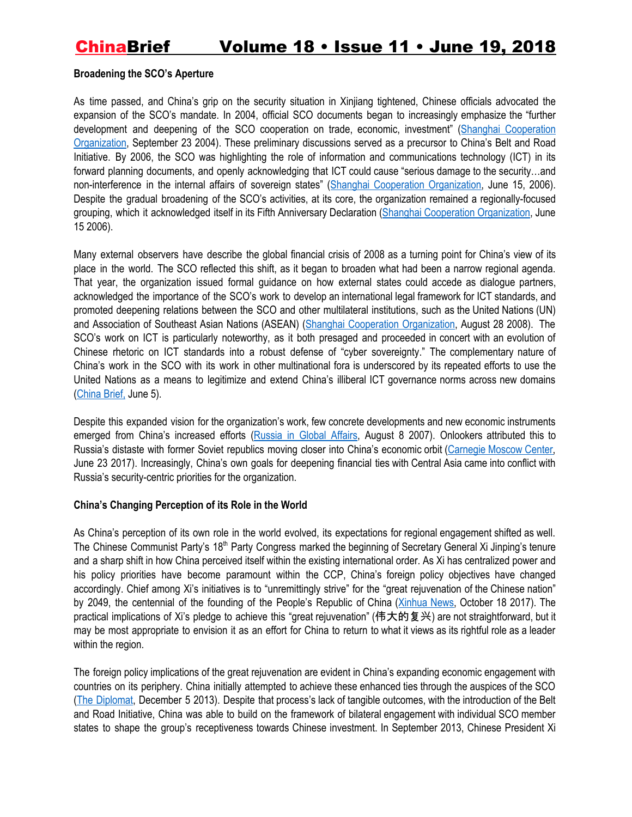### **Broadening the SCO's Aperture**

As time passed, and China's grip on the security situation in Xinjiang tightened, Chinese officials advocated the expansion of the SCO's mandate. In 2004, official SCO documents began to increasingly emphasize the "further development and deepening of the SCO cooperation on trade, economic, investment" (Shanghai [Cooperation](http://chn.sectsco.org/load/44410/) [Organization](http://chn.sectsco.org/load/44410/), September 23 2004). These preliminary discussions served as a precursor to China's Belt and Road Initiative. By 2006, the SCO was highlighting the role of information and communications technology (ICT) in its forward planning documents, and openly acknowledging that ICT could cause "serious damage to the security…and non-interference in the internal affairs of sovereign states" (Shanghai Cooperation [Organization](http://chn.sectsco.org/load/44887/), June 15, 2006). Despite the gradual broadening of the SCO's activities, at its core, the organization remained a regionally-focused grouping, which it acknowledged itself in its Fifth Anniversary Declaration (Shanghai Cooperation [Organization,](http://chn.sectsco.org/load/44930/) June 15 2006).

Many external observers have describe the global financial crisis of 2008 as a turning point for China's view of its place in the world. The SCO reflected this shift, as it began to broaden what had been a narrow regional agenda. That year, the organization issued formal guidance on how external states could accede as dialogue partners, acknowledged the importance of the SCO's work to develop an international legal framework for ICT standards, and promoted deepening relations between the SCO and other multilateral institutions, such as the United Nations (UN) and Association of Southeast Asian Nations (ASEAN) (Shanghai Cooperation [Organization,](http://chn.sectsco.org/load/45582/) August 28 2008). The SCO's work on ICT is particularly noteworthy, as it both presaged and proceeded in concert with an evolution of Chinese rhetoric on ICT standards into a robust defense of "cyber sovereignty." The complementary nature of China's work in the SCO with its work in other multinational fora is underscored by its repeated efforts to use the United Nations as a means to legitimize and extend China's illiberal ICT governance norms across new domains [\(China](https://jamestown.org/program/cyber-sovereignty-and-the-prcs-vision-for-global-internet-governance/) Brief, June 5).

Despite this expanded vision for the organization's work, few concrete developments and new economic instruments emerged from China's increased efforts [\(Russia](http://eng.globalaffairs.ru/number/n_9132) in Global Affairs, August 8 2007). Onlookers attributed this to Russia's distaste with former Soviet republics moving closer into China's economic orbit [\(Carnegie](https://carnegie.ru/commentary/71350) Moscow Center, June 23 2017). Increasingly, China's own goals for deepening financial ties with Central Asia came into conflict with Russia's security-centric priorities for the organization.

#### **China's Changing Perception of its Role in the World**

As China's perception of its own role in the world evolved, its expectations for regional engagement shifted as well. The Chinese Communist Party's 18<sup>th</sup> Party Congress marked the beginning of Secretary General Xi Jinping's tenure and a sharp shift in how China perceived itself within the existing international order. As Xi has centralized power and his policy priorities have become paramount within the CCP, China's foreign policy objectives have changed accordingly. Chief among Xi's initiatives is to "unremittingly strive" for the "great rejuvenation of the Chinese nation" by 2049, the centennial of the founding of the People's Republic of China [\(Xinhua](http://www.xinhuanet.com/politics/19cpcnc/2017-10/27/c_1121867529.htm) News, October 18 2017). The practical implications of Xi's pledge to achieve this "great rejuvenation" (伟大的复兴) are not straightforward, but it may be most appropriate to envision it as an effort for China to return to what it views as its rightful role as a leader within the region.

The foreign policy implications of the great rejuvenation are evident in China's expanding economic engagement with countries on its periphery. China initially attempted to achieve these enhanced ties through the auspices of the SCO (The [Diplomat,](https://thediplomat.com/2013/12/chinas-sco-challenges/) December 5 2013). Despite that process's lack of tangible outcomes, with the introduction of the Belt and Road Initiative, China was able to build on the framework of bilateral engagement with individual SCO member states to shape the group's receptiveness towards Chinese investment. In September 2013, Chinese President Xi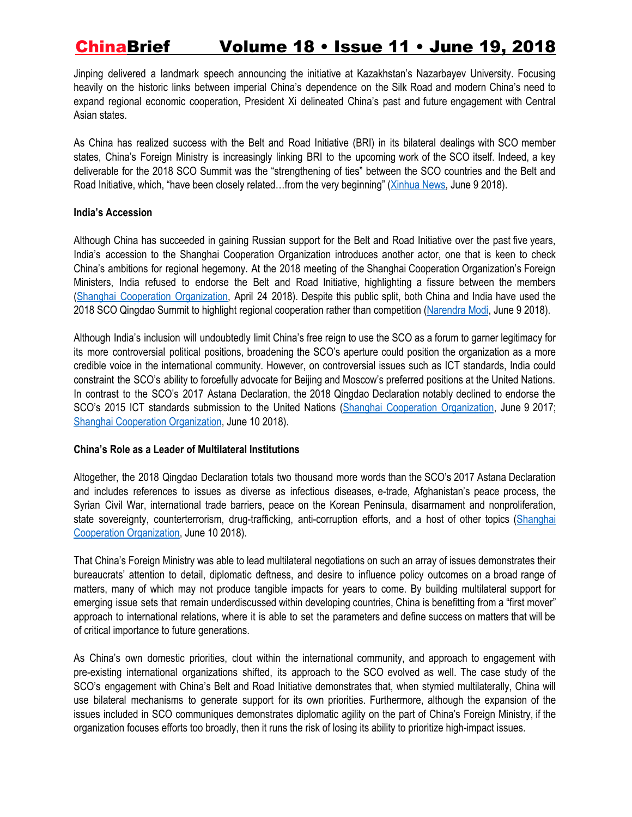Jinping delivered a landmark speech announcing the initiative at Kazakhstan's Nazarbayev University. Focusing heavily on the historic links between imperial China's dependence on the Silk Road and modern China's need to expand regional economic cooperation, President Xi delineated China's past and future engagement with Central Asian states.

As China has realized success with the Belt and Road Initiative (BRI) in its bilateral dealings with SCO member states, China's Foreign Ministry is increasingly linking BRI to the upcoming work of the SCO itself. Indeed, a key deliverable for the 2018 SCO Summit was the "strengthening of ties" between the SCO countries and the Belt and Road Initiative, which, "have been closely related…from the very beginning" ([Xinhua](http://www.xinhuanet.com/english/2018-06/09/c_137241789.htm) News, June 9 2018).

#### **India's Accession**

Although China has succeeded in gaining Russian support for the Belt and Road Initiative over the past five years, India's accession to the Shanghai Cooperation Organization introduces another actor, one that is keen to check China's ambitions for regional hegemony. At the 2018 meeting of the Shanghai Cooperation Organization's Foreign Ministers, India refused to endorse the Belt and Road Initiative, highlighting a fissure between the members (Shanghai Cooperation [Organization](http://eng.sectsco.org/news/20180424/413326.html), April 24 2018). Despite this public split, both China and India have used the 2018 SCO Qingdao Summit to highlight regional cooperation rather than competition ([Narendra](https://twitter.com/narendramodi/status/1005418416231059458) Modi, June 9 2018).

Although India's inclusion will undoubtedly limit China's free reign to use the SCO as a forum to garner legitimacy for its more controversial political positions, broadening the SCO's aperture could position the organization as a more credible voice in the international community. However, on controversial issues such as ICT standards, India could constraint the SCO's ability to forcefully advocate for Beijing and Moscow's preferred positions at the United Nations. In contrast to the SCO's 2017 Astana Declaration, the 2018 Qingdao Declaration notably declined to endorse the SCO's 2015 ICT standards submission to the United Nations (Shanghai Cooperation [Organization](http://chn.sectsco.org/load/290014/), June 9 2017; Shanghai Cooperation [Organization](http://eng.sectsco.org/load/443667/), June 10 2018).

### **China's Role as a Leader of Multilateral Institutions**

Altogether, the 2018 Qingdao Declaration totals two thousand more words than the SCO's 2017 Astana Declaration and includes references to issues as diverse as infectious diseases, e-trade, Afghanistan's peace process, the Syrian Civil War, international trade barriers, peace on the Korean Peninsula, disarmament and nonproliferation, state sovereignty, counterterrorism, drug-trafficking, anti-corruption efforts, and a host of other topics ([Shanghai](http://eng.sectsco.org/load/443667/) Cooperation [Organization](http://eng.sectsco.org/load/443667/), June 10 2018).

That China's Foreign Ministry was able to lead multilateral negotiations on such an array of issues demonstrates their bureaucrats' attention to detail, diplomatic deftness, and desire to influence policy outcomes on a broad range of matters, many of which may not produce tangible impacts for years to come. By building multilateral support for emerging issue sets that remain underdiscussed within developing countries, China is benefitting from a "first mover" approach to international relations, where it is able to set the parameters and define success on matters that will be of critical importance to future generations.

As China's own domestic priorities, clout within the international community, and approach to engagement with pre-existing international organizations shifted, its approach to the SCO evolved as well. The case study of the SCO's engagement with China's Belt and Road Initiative demonstrates that, when stymied multilaterally, China will use bilateral mechanisms to generate support for its own priorities. Furthermore, although the expansion of the issues included in SCO communiques demonstrates diplomatic agility on the part of China's Foreign Ministry, if the organization focuses efforts too broadly, then it runs the risk of losing its ability to prioritize high-impact issues.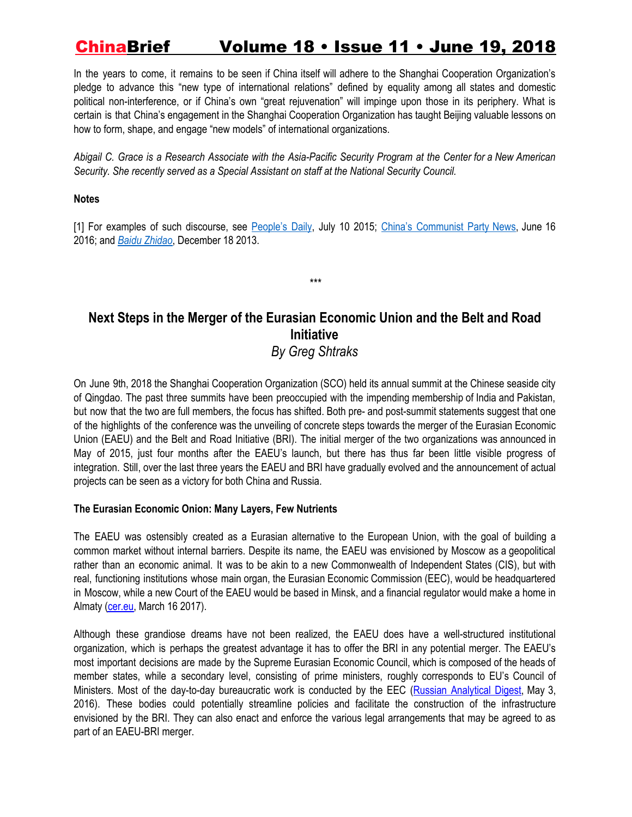In the years to come, it remains to be seen if China itself will adhere to the Shanghai Cooperation Organization's pledge to advance this "new type of international relations" defined by equality among all states and domestic political non-interference, or if China's own "great rejuvenation" will impinge upon those in its periphery. What is certain is that China's engagement in the Shanghai Cooperation Organization has taught Beijing valuable lessons on how to form, shape, and engage "new models" of international organizations.

Abigail C. Grace is a Research Associate with the Asia-Pacific Security Program at the Center for a New American *Security. She recently served as a Special Assistant on staff at the National Security Council.*

### **Notes**

[1] For examples of such discourse, see [People's](http://paper.people.com.cn/rmrbhwb/html/2015-07/11/content_1586050.htm) Daily, July 10 2015; China's [Communist](http://cpc.people.com.cn/n1/2016/0616/c64094-28448627.html) Party News, June 16 2016; and *Baidu [Zhidao](https://zhidao.baidu.com/question/744146497948475372.html)*, December 18 2013.

*\*\*\**

## **Next Steps in the Merger of the Eurasian Economic Union and the Belt and Road Initiative** *By Greg Shtraks*

On June 9th, 2018 the Shanghai Cooperation Organization (SCO) held its annual summit at the Chinese seaside city of Qingdao. The past three summits have been preoccupied with the impending membership of India and Pakistan, but now that the two are full members, the focus has shifted. Both pre- and post-summit statements suggest that one of the highlights of the conference was the unveiling of concrete steps towards the merger of the Eurasian Economic Union (EAEU) and the Belt and Road Initiative (BRI). The initial merger of the two organizations was announced in May of 2015, just four months after the EAEU's launch, but there has thus far been little visible progress of integration. Still, over the last three years the EAEU and BRI have gradually evolved and the announcement of actual projects can be seen as a victory for both China and Russia.

### **The Eurasian Economic Onion: Many Layers, Few Nutrients**

The EAEU was ostensibly created as a Eurasian alternative to the European Union, with the goal of building a common market without internal barriers. Despite its name, the EAEU was envisioned by Moscow as a geopolitical rather than an economic animal. It was to be akin to a new Commonwealth of Independent States (CIS), but with real, functioning institutions whose main organ, the Eurasian Economic Commission (EEC), would be headquartered in Moscow, while a new Court of the EAEU would be based in Minsk, and a financial regulator would make a home in Almaty [\(cer.eu,](http://www.cer.eu/sites/default/files/pb_eurasian_IB_16.3.17_0.pdf) March 16 2017).

Although these grandiose dreams have not been realized, the EAEU does have a well-structured institutional organization, which is perhaps the greatest advantage it has to offer the BRI in any potential merger. The EAEU's most important decisions are made by the Supreme Eurasian Economic Council, which is composed of the heads of member states, while a secondary level, consisting of prime ministers, roughly corresponds to EU's Council of Ministers. Most of the day-to-day bureaucratic work is conducted by the EEC (Russian [Analytical](http://www.laender-analysen.de/russland/rad/pdf/Russian_Analytical_Digest_183.pdf) Digest, May 3, 2016). These bodies could potentially streamline policies and facilitate the construction of the infrastructure envisioned by the BRI. They can also enact and enforce the various legal arrangements that may be agreed to as part of an EAEU-BRI merger.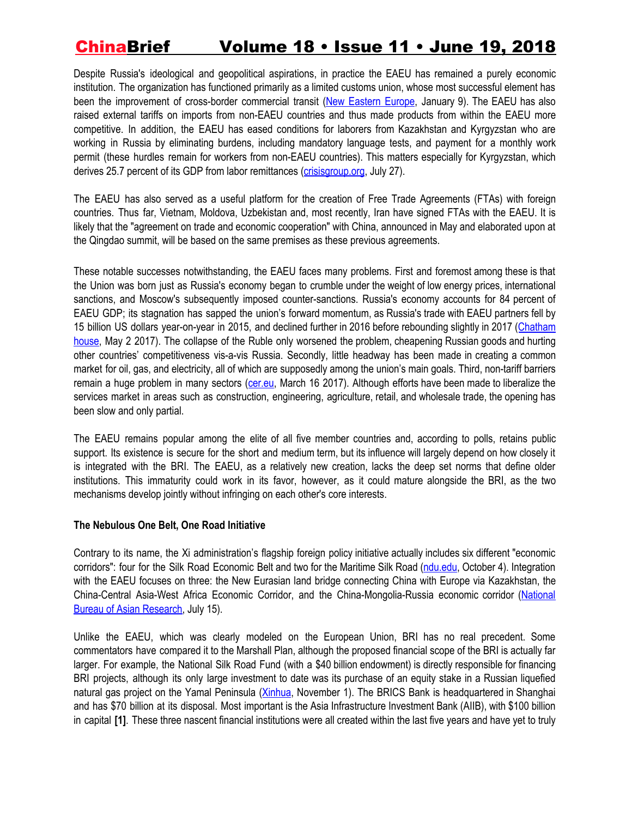Despite Russia's ideological and geopolitical aspirations, in practice the EAEU has remained a purely economic institution. The organization has functioned primarily as a limited customs union, whose most successful element has been the improvement of cross-border commercial transit (New [Eastern](http://neweasterneurope.eu/2018/01/09/8767/) Europe, January 9). The EAEU has also raised external tariffs on imports from non-EAEU countries and thus made products from within the EAEU more competitive. In addition, the EAEU has eased conditions for laborers from Kazakhstan and Kyrgyzstan who are working in Russia by eliminating burdens, including mandatory language tests, and payment for a monthly work permit (these hurdles remain for workers from non-EAEU countries). This matters especially for Kyrgyzstan, which derives 25.7 percent of its GDP from labor remittances ([crisisgroup.org](https://www.crisisgroup.org/europe-central-asia/central-asia/245-central-asias-silk-road-rivalries), July 27).

The EAEU has also served as a useful platform for the creation of Free Trade Agreements (FTAs) with foreign countries. Thus far, Vietnam, Moldova, Uzbekistan and, most recently, Iran have signed FTAs with the EAEU. It is likely that the "agreement on trade and economic cooperation" with China, announced in May and elaborated upon at the Qingdao summit, will be based on the same premises as these previous agreements.

These notable successes notwithstanding, the EAEU faces many problems. First and foremost among these is that the Union was born just as Russia's economy began to crumble under the weight of low energy prices, international sanctions, and Moscow's subsequently imposed counter-sanctions. Russia's economy accounts for 84 percent of EAEU GDP; its stagnation has sapped the union's forward momentum, as Russia's trade with EAEU partners fell by 15 billion US dollars year-on-year in 2015, and declined further in 2016 before rebounding slightly in 2017 [\(Chatham](https://www.chathamhouse.org/publication/eurasian-economic-union-deals-rules-and-exercise-power) [house](https://www.chathamhouse.org/publication/eurasian-economic-union-deals-rules-and-exercise-power), May 2 2017). The collapse of the Ruble only worsened the problem, cheapening Russian goods and hurting other countries' competitiveness vis-a-vis Russia. Secondly, little headway has been made in creating a common market for oil, gas, and electricity, all of which are supposedly among the union's main goals. Third, non-tariff barriers remain a huge problem in many sectors ([cer.eu,](http://www.cer.eu/sites/default/files/pb_eurasian_IB_16.3.17_0.pdf) March 16 2017). Although efforts have been made to liberalize the services market in areas such as construction, engineering, agriculture, retail, and wholesale trade, the opening has been slow and only partial.

The EAEU remains popular among the elite of all five member countries and, according to polls, retains public support. Its existence is secure for the short and medium term, but its influence will largely depend on how closely it is integrated with the BRI. The EAEU, as a relatively new creation, lacks the deep set norms that define older institutions. This immaturity could work in its favor, however, as it could mature alongside the BRI, as the two mechanisms develop jointly without infringing on each other's core interests.

#### **The Nebulous One Belt, One Road Initiative**

Contrary to its name, the Xi administration's flagship foreign policy initiative actually includes six different "economic corridors": four for the Silk Road Economic Belt and two for the Maritime Silk Road [\(ndu.edu](http://inss.ndu.edu/Portals/68/Documents/stratperspective/china/ChinaPerspectives-12.pdf), October 4). Integration with the EAEU focuses on three: the New Eurasian land bridge connecting China with Europe via Kazakhstan, the China-Central Asia-West Africa Economic Corridor, and the China-Mongolia-Russia economic corridor ([National](https://www.amazon.com/Eurasian-Political-Strategic-Implications-Initiative/dp/1939131502) Bureau of Asian [Research,](https://www.amazon.com/Eurasian-Political-Strategic-Implications-Initiative/dp/1939131502) July 15).

Unlike the EAEU, which was clearly modeled on the European Union, BRI has no real precedent. Some commentators have compared it to the Marshall Plan, although the proposed financial scope of the BRI is actually far larger. For example, the National Silk Road Fund (with a \$40 billion endowment) is directly responsible for financing BRI projects, although its only large investment to date was its purchase of an equity stake in a Russian liquefied natural gas project on the Yamal Peninsula [\(Xinhua](http://www.xinhuanet.com/english/2017-11/01/c_136720000.htm), November 1). The BRICS Bank is headquartered in Shanghai and has \$70 billion at its disposal. Most important is the Asia Infrastructure Investment Bank (AIIB), with \$100 billion in capital **[1]**. These three nascent financial institutions were all created within the last five years and have yet to truly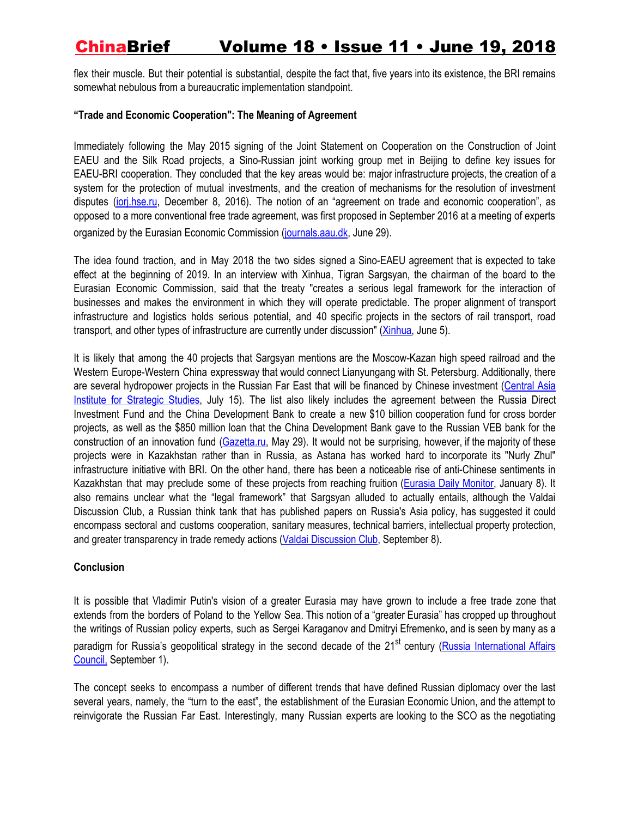flex their muscle. But their potential is substantial, despite the fact that, five years into its existence, the BRI remains somewhat nebulous from a bureaucratic implementation standpoint.

### **"Trade and Economic Cooperation": The Meaning of Agreement**

Immediately following the May 2015 signing of the Joint Statement on Cooperation on the Construction of Joint EAEU and the Silk Road projects, a Sino-Russian joint working group met in Beijing to define key issues for EAEU-BRI cooperation. They concluded that the key areas would be: major infrastructure projects, the creation of a system for the protection of mutual investments, and the creation of mechanisms for the resolution of investment disputes [\(iorj.hse.ru](https://iorj.hse.ru/data/2016/12/08/1111884690/I.%20Makarov,%20A.%20Sokolova.pdf), December 8, 2016). The notion of an "agreement on trade and economic cooperation", as opposed to a more conventional free trade agreement, was first proposed in September 2016 at a meeting of experts organized by the Eurasian Economic Commission ([journals.aau.dk](https://journals.aau.dk/index.php/jcir/article/view/1917), June 29).

The idea found traction, and in May 2018 the two sides signed a Sino-EAEU agreement that is expected to take effect at the beginning of 2019. In an interview with Xinhua, Tigran Sargsyan, the chairman of the board to the Eurasian Economic Commission, said that the treaty "creates a serious legal framework for the interaction of businesses and makes the environment in which they will operate predictable. The proper alignment of transport infrastructure and logistics holds serious potential, and 40 specific projects in the sectors of rail transport, road transport, and other types of infrastructure are currently under discussion" [\(Xinhua,](http://www.xinhuanet.com/english/2018-06/05/c_137230012.html) June 5).

It is likely that among the 40 projects that Sargsyan mentions are the Moscow-Kazan high speed railroad and the Western Europe-Western China expressway that would connect Lianyungang with St. Petersburg. Additionally, there are several hydropower projects in the Russian Far East that will be financed by Chinese investment ([Central](http://library.fes.de/pdf-files/bueros/kasachstan/13620.pdf) Asia Institute for [Strategic](http://library.fes.de/pdf-files/bueros/kasachstan/13620.pdf) Studies, July 15). The list also likely includes the agreement between the Russia Direct Investment Fund and the China Development Bank to create a new \$10 billion cooperation fund for cross border projects, as well as the \$850 million loan that the China Development Bank gave to the Russian VEB bank for the construction of an innovation fund [\(Gazetta.ru](https://www.gazeta.ru/politics/2018/05/29_a_11774683.shtml?updated), May 29). It would not be surprising, however, if the majority of these projects were in Kazakhstan rather than in Russia, as Astana has worked hard to incorporate its "Nurly Zhul" infrastructure initiative with BRI. On the other hand, there has been a noticeable rise of anti-Chinese sentiments in Kazakhstan that may preclude some of these projects from reaching fruition ([Eurasia](https://jamestown.org/program/astana-grapples-growing-sinophobic-sentiment-kazakhstan/) Daily Monitor, January 8). It also remains unclear what the "legal framework" that Sargsyan alluded to actually entails, although the Valdai Discussion Club, a Russian think tank that has published papers on Russia's Asia policy, has suggested it could encompass sectoral and customs cooperation, sanitary measures, technical barriers, intellectual property protection, and greater transparency in trade remedy actions (Valdai [Discussion](http://valdaiclub.com/a/reports/toward-the-great-ocean-5-from-the-turn-to-the-east/) Club, September 8).

### **Conclusion**

It is possible that Vladimir Putin's vision of a greater Eurasia may have grown to include a free trade zone that extends from the borders of Poland to the Yellow Sea. This notion of a "greater Eurasia" has cropped up throughout the writings of Russian policy experts, such as Sergei Karaganov and Dmitryi Efremenko, and is seen by many as a paradigm for Russia's geopolitical strategy in the second decade of the 21<sup>st</sup> century (**Russia [International](http://russiancouncil.ru/en/analytics-and-comments/analytics/greater-eurasia-perceptions-from-russia-the-european-union-and-china/) Affairs** [Council,](http://russiancouncil.ru/en/analytics-and-comments/analytics/greater-eurasia-perceptions-from-russia-the-european-union-and-china/) September 1).

The concept seeks to encompass a number of different trends that have defined Russian diplomacy over the last several years, namely, the "turn to the east", the establishment of the Eurasian Economic Union, and the attempt to reinvigorate the Russian Far East. Interestingly, many Russian experts are looking to the SCO as the negotiating